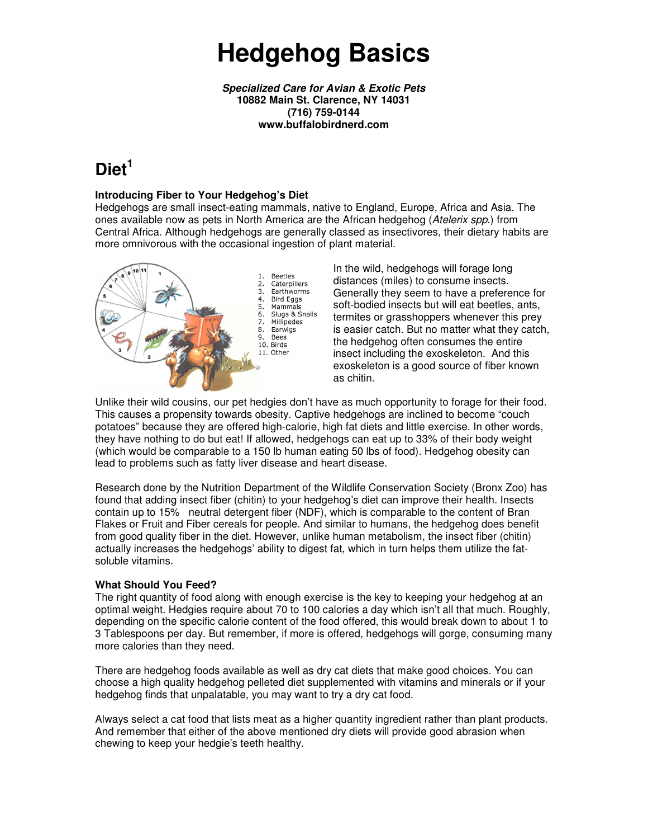# **Hedgehog Basics**

**Specialized Care for Avian & Exotic Pets 10882 Main St. Clarence, NY 14031 (716) 759-0144 www.buffalobirdnerd.com** 

## **Diet<sup>1</sup>**

#### **Introducing Fiber to Your Hedgehog's Diet**

Hedgehogs are small insect-eating mammals, native to England, Europe, Africa and Asia. The ones available now as pets in North America are the African hedgehog (Atelerix spp.) from Central Africa. Although hedgehogs are generally classed as insectivores, their dietary habits are more omnivorous with the occasional ingestion of plant material.



In the wild, hedgehogs will forage long distances (miles) to consume insects. Generally they seem to have a preference for soft-bodied insects but will eat beetles, ants, termites or grasshoppers whenever this prey is easier catch. But no matter what they catch, the hedgehog often consumes the entire insect including the exoskeleton. And this exoskeleton is a good source of fiber known as chitin.

Unlike their wild cousins, our pet hedgies don't have as much opportunity to forage for their food. This causes a propensity towards obesity. Captive hedgehogs are inclined to become "couch potatoes" because they are offered high-calorie, high fat diets and little exercise. In other words, they have nothing to do but eat! If allowed, hedgehogs can eat up to 33% of their body weight (which would be comparable to a 150 lb human eating 50 lbs of food). Hedgehog obesity can lead to problems such as fatty liver disease and heart disease.

Research done by the Nutrition Department of the Wildlife Conservation Society (Bronx Zoo) has found that adding insect fiber (chitin) to your hedgehog's diet can improve their health. Insects contain up to 15% neutral detergent fiber (NDF), which is comparable to the content of Bran Flakes or Fruit and Fiber cereals for people. And similar to humans, the hedgehog does benefit from good quality fiber in the diet. However, unlike human metabolism, the insect fiber (chitin) actually increases the hedgehogs' ability to digest fat, which in turn helps them utilize the fatsoluble vitamins.

#### **What Should You Feed?**

The right quantity of food along with enough exercise is the key to keeping your hedgehog at an optimal weight. Hedgies require about 70 to 100 calories a day which isn't all that much. Roughly, depending on the specific calorie content of the food offered, this would break down to about 1 to 3 Tablespoons per day. But remember, if more is offered, hedgehogs will gorge, consuming many more calories than they need.

There are hedgehog foods available as well as dry cat diets that make good choices. You can choose a high quality hedgehog pelleted diet supplemented with vitamins and minerals or if your hedgehog finds that unpalatable, you may want to try a dry cat food.

Always select a cat food that lists meat as a higher quantity ingredient rather than plant products. And remember that either of the above mentioned dry diets will provide good abrasion when chewing to keep your hedgie's teeth healthy.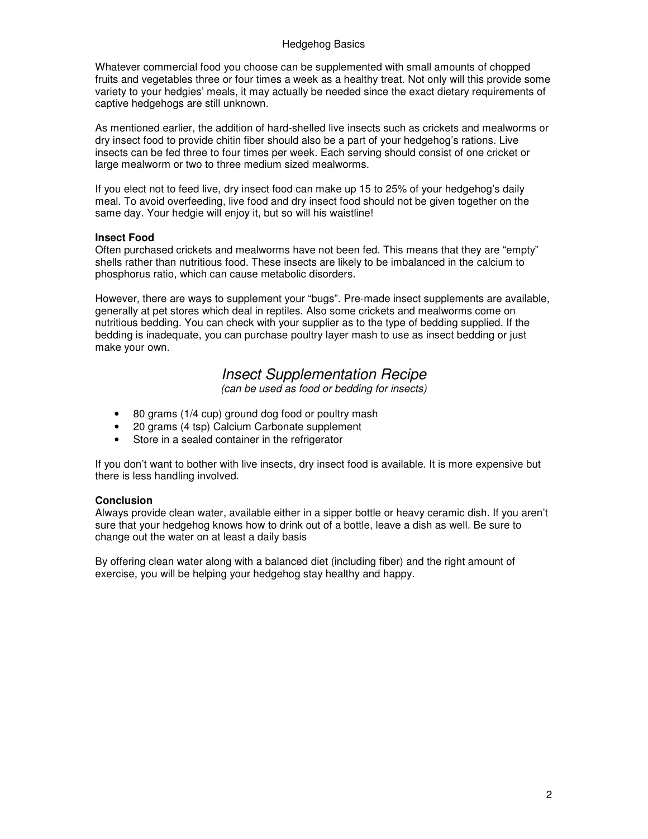#### Hedgehog Basics

Whatever commercial food you choose can be supplemented with small amounts of chopped fruits and vegetables three or four times a week as a healthy treat. Not only will this provide some variety to your hedgies' meals, it may actually be needed since the exact dietary requirements of captive hedgehogs are still unknown.

As mentioned earlier, the addition of hard-shelled live insects such as crickets and mealworms or dry insect food to provide chitin fiber should also be a part of your hedgehog's rations. Live insects can be fed three to four times per week. Each serving should consist of one cricket or large mealworm or two to three medium sized mealworms.

If you elect not to feed live, dry insect food can make up 15 to 25% of your hedgehog's daily meal. To avoid overfeeding, live food and dry insect food should not be given together on the same day. Your hedgie will enjoy it, but so will his waistline!

#### **Insect Food**

Often purchased crickets and mealworms have not been fed. This means that they are "empty" shells rather than nutritious food. These insects are likely to be imbalanced in the calcium to phosphorus ratio, which can cause metabolic disorders.

However, there are ways to supplement your "bugs". Pre-made insect supplements are available, generally at pet stores which deal in reptiles. Also some crickets and mealworms come on nutritious bedding. You can check with your supplier as to the type of bedding supplied. If the bedding is inadequate, you can purchase poultry layer mash to use as insect bedding or just make your own.

### Insect Supplementation Recipe

(can be used as food or bedding for insects)

- 80 grams (1/4 cup) ground dog food or poultry mash
- 20 grams (4 tsp) Calcium Carbonate supplement
- Store in a sealed container in the refrigerator

If you don't want to bother with live insects, dry insect food is available. It is more expensive but there is less handling involved.

#### **Conclusion**

Always provide clean water, available either in a sipper bottle or heavy ceramic dish. If you aren't sure that your hedgehog knows how to drink out of a bottle, leave a dish as well. Be sure to change out the water on at least a daily basis

By offering clean water along with a balanced diet (including fiber) and the right amount of exercise, you will be helping your hedgehog stay healthy and happy.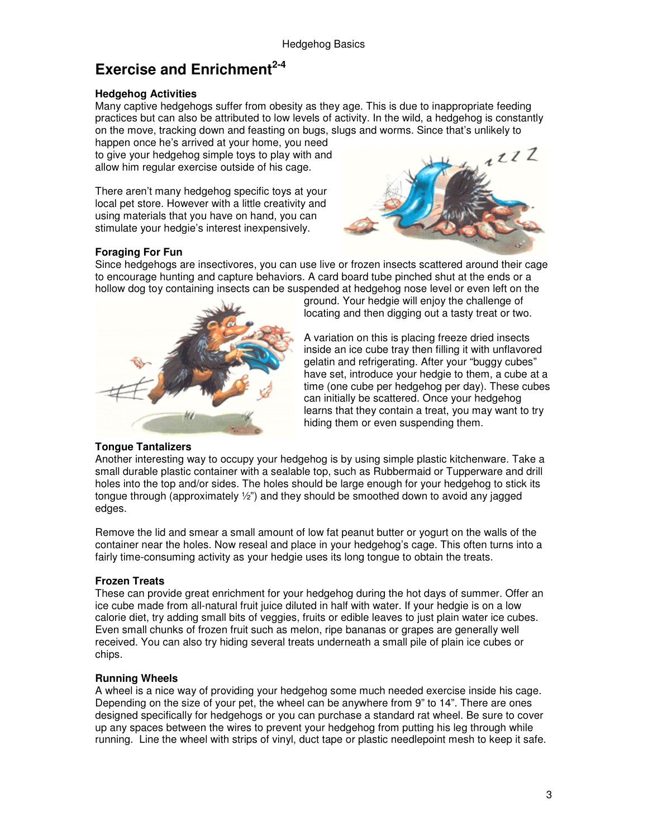## **Exercise and Enrichment2-4**

#### **Hedgehog Activities**

Many captive hedgehogs suffer from obesity as they age. This is due to inappropriate feeding practices but can also be attributed to low levels of activity. In the wild, a hedgehog is constantly on the move, tracking down and feasting on bugs, slugs and worms. Since that's unlikely to

happen once he's arrived at your home, you need to give your hedgehog simple toys to play with and allow him regular exercise outside of his cage.

There aren't many hedgehog specific toys at your local pet store. However with a little creativity and using materials that you have on hand, you can stimulate your hedgie's interest inexpensively.



#### **Foraging For Fun**

Since hedgehogs are insectivores, you can use live or frozen insects scattered around their cage to encourage hunting and capture behaviors. A card board tube pinched shut at the ends or a hollow dog toy containing insects can be suspended at hedgehog nose level or even left on the



ground. Your hedgie will enjoy the challenge of locating and then digging out a tasty treat or two.

A variation on this is placing freeze dried insects inside an ice cube tray then filling it with unflavored gelatin and refrigerating. After your "buggy cubes" have set, introduce your hedgie to them, a cube at a time (one cube per hedgehog per day). These cubes can initially be scattered. Once your hedgehog learns that they contain a treat, you may want to try hiding them or even suspending them.

#### **Tongue Tantalizers**

Another interesting way to occupy your hedgehog is by using simple plastic kitchenware. Take a small durable plastic container with a sealable top, such as Rubbermaid or Tupperware and drill holes into the top and/or sides. The holes should be large enough for your hedgehog to stick its tongue through (approximately ½") and they should be smoothed down to avoid any jagged edges.

Remove the lid and smear a small amount of low fat peanut butter or yogurt on the walls of the container near the holes. Now reseal and place in your hedgehog's cage. This often turns into a fairly time-consuming activity as your hedgie uses its long tongue to obtain the treats.

#### **Frozen Treats**

These can provide great enrichment for your hedgehog during the hot days of summer. Offer an ice cube made from all-natural fruit juice diluted in half with water. If your hedgie is on a low calorie diet, try adding small bits of veggies, fruits or edible leaves to just plain water ice cubes. Even small chunks of frozen fruit such as melon, ripe bananas or grapes are generally well received. You can also try hiding several treats underneath a small pile of plain ice cubes or chips.

#### **Running Wheels**

A wheel is a nice way of providing your hedgehog some much needed exercise inside his cage. Depending on the size of your pet, the wheel can be anywhere from 9" to 14". There are ones designed specifically for hedgehogs or you can purchase a standard rat wheel. Be sure to cover up any spaces between the wires to prevent your hedgehog from putting his leg through while running. Line the wheel with strips of vinyl, duct tape or plastic needlepoint mesh to keep it safe.